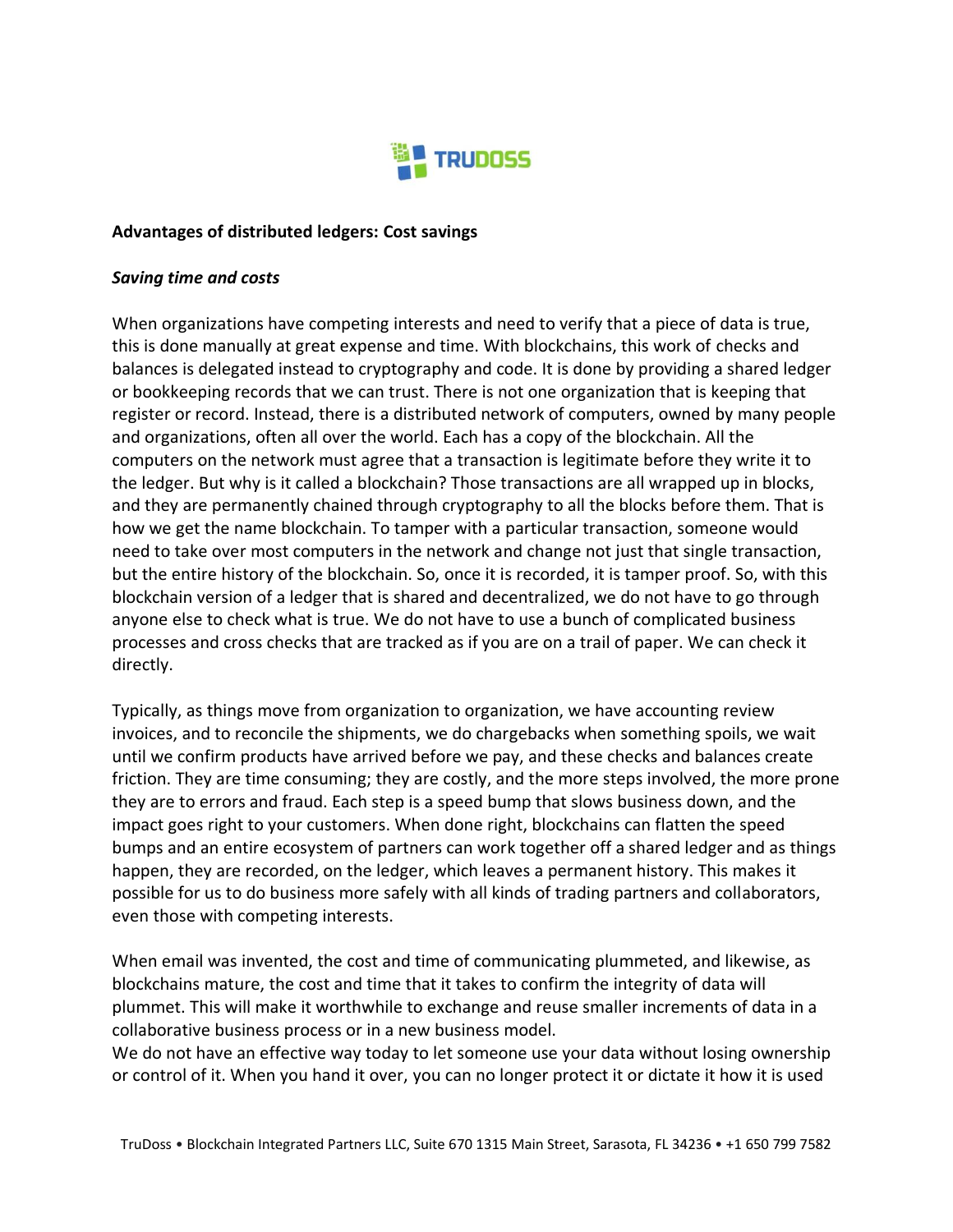

## **Advantages of distributed ledgers: Cost savings**

## *Saving time and costs*

When organizations have competing interests and need to verify that a piece of data is true, this is done manually at great expense and time. With blockchains, this work of checks and balances is delegated instead to cryptography and code. It is done by providing a shared ledger or bookkeeping records that we can trust. There is not one organization that is keeping that register or record. Instead, there is a distributed network of computers, owned by many people and organizations, often all over the world. Each has a copy of the blockchain. All the computers on the network must agree that a transaction is legitimate before they write it to the ledger. But why is it called a blockchain? Those transactions are all wrapped up in blocks, and they are permanently chained through cryptography to all the blocks before them. That is how we get the name blockchain. To tamper with a particular transaction, someone would need to take over most computers in the network and change not just that single transaction, but the entire history of the blockchain. So, once it is recorded, it is tamper proof. So, with this blockchain version of a ledger that is shared and decentralized, we do not have to go through anyone else to check what is true. We do not have to use a bunch of complicated business processes and cross checks that are tracked as if you are on a trail of paper. We can check it directly.

Typically, as things move from organization to organization, we have accounting review invoices, and to reconcile the shipments, we do chargebacks when something spoils, we wait until we confirm products have arrived before we pay, and these checks and balances create friction. They are time consuming; they are costly, and the more steps involved, the more prone they are to errors and fraud. Each step is a speed bump that slows business down, and the impact goes right to your customers. When done right, blockchains can flatten the speed bumps and an entire ecosystem of partners can work together off a shared ledger and as things happen, they are recorded, on the ledger, which leaves a permanent history. This makes it possible for us to do business more safely with all kinds of trading partners and collaborators, even those with competing interests.

When email was invented, the cost and time of communicating plummeted, and likewise, as blockchains mature, the cost and time that it takes to confirm the integrity of data will plummet. This will make it worthwhile to exchange and reuse smaller increments of data in a collaborative business process or in a new business model.

We do not have an effective way today to let someone use your data without losing ownership or control of it. When you hand it over, you can no longer protect it or dictate it how it is used